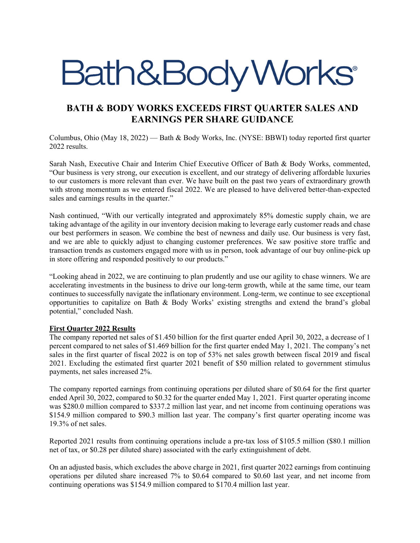# Bath&BodyWorks®

# **BATH & BODY WORKS EXCEEDS FIRST QUARTER SALES AND EARNINGS PER SHARE GUIDANCE**

Columbus, Ohio (May 18, 2022) — Bath & Body Works, Inc. (NYSE: BBWI) today reported first quarter 2022 results.

Sarah Nash, Executive Chair and Interim Chief Executive Officer of Bath & Body Works, commented, "Our business is very strong, our execution is excellent, and our strategy of delivering affordable luxuries to our customers is more relevant than ever. We have built on the past two years of extraordinary growth with strong momentum as we entered fiscal 2022. We are pleased to have delivered better-than-expected sales and earnings results in the quarter."

Nash continued, "With our vertically integrated and approximately 85% domestic supply chain, we are taking advantage of the agility in our inventory decision making to leverage early customer reads and chase our best performers in season. We combine the best of newness and daily use. Our business is very fast, and we are able to quickly adjust to changing customer preferences. We saw positive store traffic and transaction trends as customers engaged more with us in person, took advantage of our buy online-pick up in store offering and responded positively to our products."

"Looking ahead in 2022, we are continuing to plan prudently and use our agility to chase winners. We are accelerating investments in the business to drive our long-term growth, while at the same time, our team continues to successfully navigate the inflationary environment. Long-term, we continue to see exceptional opportunities to capitalize on Bath & Body Works' existing strengths and extend the brand's global potential," concluded Nash.

# **First Quarter 2022 Results**

The company reported net sales of \$1.450 billion for the first quarter ended April 30, 2022, a decrease of 1 percent compared to net sales of \$1.469 billion for the first quarter ended May 1, 2021. The company's net sales in the first quarter of fiscal 2022 is on top of 53% net sales growth between fiscal 2019 and fiscal 2021. Excluding the estimated first quarter 2021 benefit of \$50 million related to government stimulus payments, net sales increased 2%.

The company reported earnings from continuing operations per diluted share of \$0.64 for the first quarter ended April 30, 2022, compared to \$0.32 for the quarter ended May 1, 2021. First quarter operating income was \$280.0 million compared to \$337.2 million last year, and net income from continuing operations was \$154.9 million compared to \$90.3 million last year. The company's first quarter operating income was 19.3% of net sales.

Reported 2021 results from continuing operations include a pre-tax loss of \$105.5 million (\$80.1 million net of tax, or \$0.28 per diluted share) associated with the early extinguishment of debt.

On an adjusted basis, which excludes the above charge in 2021, first quarter 2022 earnings from continuing operations per diluted share increased 7% to \$0.64 compared to \$0.60 last year, and net income from continuing operations was \$154.9 million compared to \$170.4 million last year.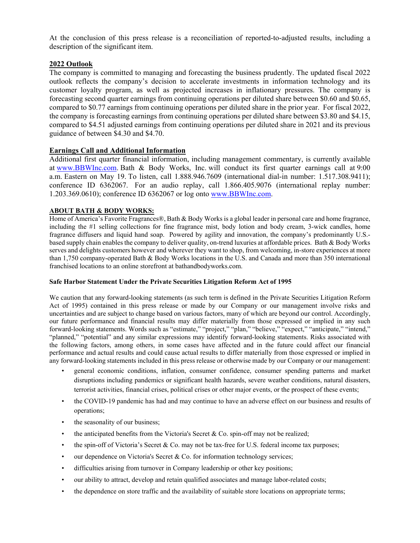At the conclusion of this press release is a reconciliation of reported-to-adjusted results, including a description of the significant item.

# **2022 Outlook**

The company is committed to managing and forecasting the business prudently. The updated fiscal 2022 outlook reflects the company's decision to accelerate investments in information technology and its customer loyalty program, as well as projected increases in inflationary pressures. The company is forecasting second quarter earnings from continuing operations per diluted share between \$0.60 and \$0.65, compared to \$0.77 earnings from continuing operations per diluted share in the prior year. For fiscal 2022, the company is forecasting earnings from continuing operations per diluted share between \$3.80 and \$4.15, compared to \$4.51 adjusted earnings from continuing operations per diluted share in 2021 and its previous guidance of between \$4.30 and \$4.70.

## **Earnings Call and Additional Information**

Additional first quarter financial information, including management commentary, is currently available at www.BBWInc.com. Bath & Body Works, Inc. will conduct its first quarter earnings call at 9:00 a.m. Eastern on May 19. To listen, call 1.888.946.7609 (international dial-in number: 1.517.308.9411); conference ID 6362067. For an audio replay, call 1.866.405.9076 (international replay number: 1.203.369.0610); conference ID 6362067 or log onto www.BBWInc.com.

### **ABOUT BATH & BODY WORKS:**

Home of America's Favorite Fragrances®, Bath & Body Works is a global leader in personal care and home fragrance, including the #1 selling collections for fine fragrance mist, body lotion and body cream, 3-wick candles, home fragrance diffusers and liquid hand soap. Powered by agility and innovation, the company's predominantly U.S. based supply chain enables the company to deliver quality, on-trend luxuries at affordable prices. Bath & Body Works serves and delights customers however and wherever they want to shop, from welcoming, in-store experiences at more than 1,750 company-operated Bath & Body Works locations in the U.S. and Canada and more than 350 international franchised locations to an online storefront at bathandbodyworks.com.

#### **Safe Harbor Statement Under the Private Securities Litigation Reform Act of 1995**

We caution that any forward-looking statements (as such term is defined in the Private Securities Litigation Reform Act of 1995) contained in this press release or made by our Company or our management involve risks and uncertainties and are subject to change based on various factors, many of which are beyond our control. Accordingly, our future performance and financial results may differ materially from those expressed or implied in any such forward-looking statements. Words such as "estimate," "project," "plan," "believe," "expect," "anticipate," "intend," "planned," "potential" and any similar expressions may identify forward-looking statements. Risks associated with the following factors, among others, in some cases have affected and in the future could affect our financial performance and actual results and could cause actual results to differ materially from those expressed or implied in any forward-looking statements included in this press release or otherwise made by our Company or our management:

- general economic conditions, inflation, consumer confidence, consumer spending patterns and market disruptions including pandemics or significant health hazards, severe weather conditions, natural disasters, terrorist activities, financial crises, political crises or other major events, or the prospect of these events;
- the COVID-19 pandemic has had and may continue to have an adverse effect on our business and results of operations;
- the seasonality of our business;
- the anticipated benefits from the Victoria's Secret & Co. spin-off may not be realized;
- the spin-off of Victoria's Secret & Co. may not be tax-free for U.S. federal income tax purposes;
- our dependence on Victoria's Secret & Co. for information technology services;
- difficulties arising from turnover in Company leadership or other key positions;
- our ability to attract, develop and retain qualified associates and manage labor-related costs;
- the dependence on store traffic and the availability of suitable store locations on appropriate terms;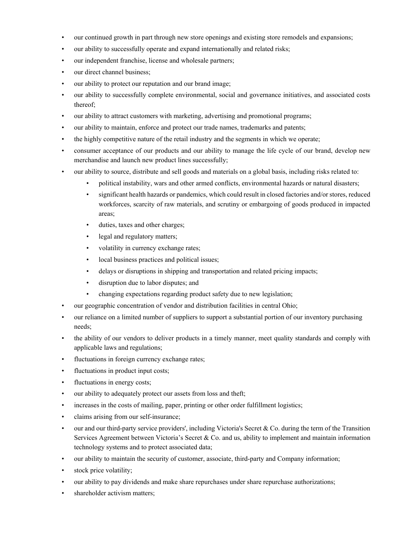- our continued growth in part through new store openings and existing store remodels and expansions;
- our ability to successfully operate and expand internationally and related risks;
- our independent franchise, license and wholesale partners;
- our direct channel business;
- our ability to protect our reputation and our brand image;
- our ability to successfully complete environmental, social and governance initiatives, and associated costs thereof;
- our ability to attract customers with marketing, advertising and promotional programs;
- our ability to maintain, enforce and protect our trade names, trademarks and patents;
- the highly competitive nature of the retail industry and the segments in which we operate;
- consumer acceptance of our products and our ability to manage the life cycle of our brand, develop new merchandise and launch new product lines successfully;
- our ability to source, distribute and sell goods and materials on a global basis, including risks related to:
	- political instability, wars and other armed conflicts, environmental hazards or natural disasters;
	- significant health hazards or pandemics, which could result in closed factories and/or stores, reduced workforces, scarcity of raw materials, and scrutiny or embargoing of goods produced in impacted areas;
	- duties, taxes and other charges;
	- legal and regulatory matters;
	- volatility in currency exchange rates;
	- local business practices and political issues;
	- delays or disruptions in shipping and transportation and related pricing impacts;
	- disruption due to labor disputes; and
	- changing expectations regarding product safety due to new legislation;
- our geographic concentration of vendor and distribution facilities in central Ohio;
- our reliance on a limited number of suppliers to support a substantial portion of our inventory purchasing needs;
- the ability of our vendors to deliver products in a timely manner, meet quality standards and comply with applicable laws and regulations;
- fluctuations in foreign currency exchange rates;
- fluctuations in product input costs;
- fluctuations in energy costs;
- our ability to adequately protect our assets from loss and theft;
- increases in the costs of mailing, paper, printing or other order fulfillment logistics;
- claims arising from our self-insurance;
- $\bullet$  our and our third-party service providers', including Victoria's Secret & Co. during the term of the Transition Services Agreement between Victoria's Secret & Co. and us, ability to implement and maintain information technology systems and to protect associated data;
- our ability to maintain the security of customer, associate, third-party and Company information;
- stock price volatility;
- our ability to pay dividends and make share repurchases under share repurchase authorizations;
- shareholder activism matters;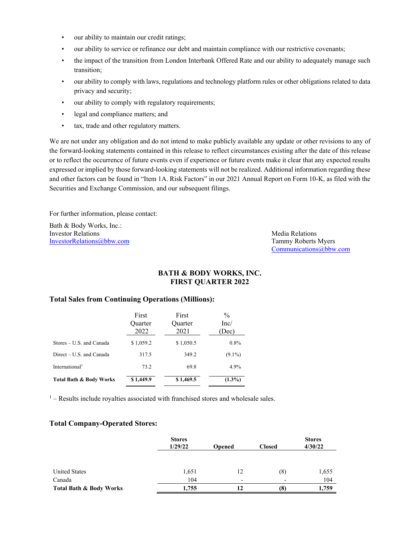- our ability to maintain our credit ratings;
- our ability to service or refinance our debt and maintain compliance with our restrictive covenants;
- the impact of the transition from London Interbank Offered Rate and our ability to adequately manage such transition;
- our ability to comply with laws, regulations and technology platform rules or other obligations related to data privacy and security;
- our ability to comply with regulatory requirements;
- legal and compliance matters; and
- tax, trade and other regulatory matters.

We are not under any obligation and do not intend to make publicly available any update or other revisions to any of the forward-looking statements contained in this release to reflect circumstances existing after the date of this release or to reflect the occurrence of future events even if experience or future events make it clear that any expected results expressed or implied by those forward-looking statements will not be realized. Additional information regarding these and other factors can be found in "Item 1A. Risk Factors" in our 2021 Annual Report on Form 10-K, as filed with the Securities and Exchange Commission, and our subsequent filings.

For further information, please contact:

Bath & Body Works, Inc.: **Investor Relations** Media Relations **Media Relations** InvestorRelations@bbw.com Tammy Roberts Myers

Communications@bbw.com

## **BATH & BODY WORKS, INC. FIRST QUARTER 2022**

## **Total Sales from Continuing Operations (Millions):**

|                            | First<br><b>Ouarter</b><br>2022 | First<br>Quarter<br>2021 | $\frac{0}{0}$<br>Inc/<br>(Dec |
|----------------------------|---------------------------------|--------------------------|-------------------------------|
| Stores – U.S. and Canada   | \$1,059.2                       | \$1,050.5                | $0.8\%$                       |
| Direct – U.S. and Canada   | 317.5                           | 349.2                    | $(9.1\%)$                     |
| International <sup>1</sup> | 73.2                            | 69.8                     | 4.9%                          |
| Total Bath & Body Works    | \$1,449.9                       | \$1,469.5                | $(1.3\%)$                     |

 $<sup>1</sup>$  – Results include royalties associated with franchised stores and wholesale sales.</sup>

#### **Total Company-Operated Stores:**

|                         | <b>Stores</b> |                          |                  | <b>Stores</b> |  |  |
|-------------------------|---------------|--------------------------|------------------|---------------|--|--|
|                         | 1/29/22       | <b>Opened</b>            | <b>Closed</b>    | 4/30/22       |  |  |
|                         |               |                          |                  |               |  |  |
| <b>United States</b>    | 1,651         | 12                       | $\left(8\right)$ | 1,655         |  |  |
| Canada                  | 104           | $\overline{\phantom{0}}$ | ۰                | 104           |  |  |
| Total Bath & Body Works | 1,755         | 12                       | (8)              | 1,759         |  |  |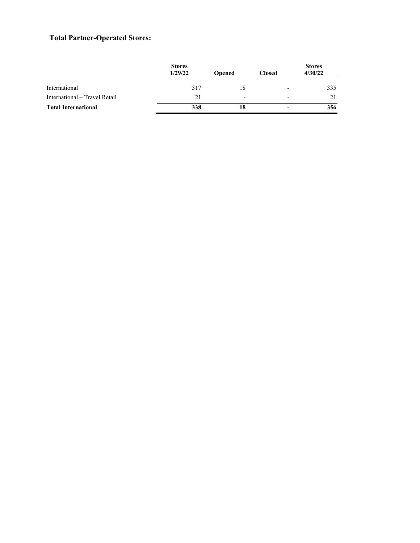# **Total Partner-Operated Stores:**

|                               | <b>Stores</b><br>1/29/22 | <b>Opened</b>            | <b>Closed</b>            | <b>Stores</b><br>4/30/22 |  |
|-------------------------------|--------------------------|--------------------------|--------------------------|--------------------------|--|
| International                 | 317                      | 18                       | $\overline{\phantom{0}}$ | 335                      |  |
| International – Travel Retail | 21                       | $\overline{\phantom{0}}$ | $\overline{\phantom{0}}$ | 21                       |  |
| <b>Total International</b>    | 338                      | 18                       |                          | 356                      |  |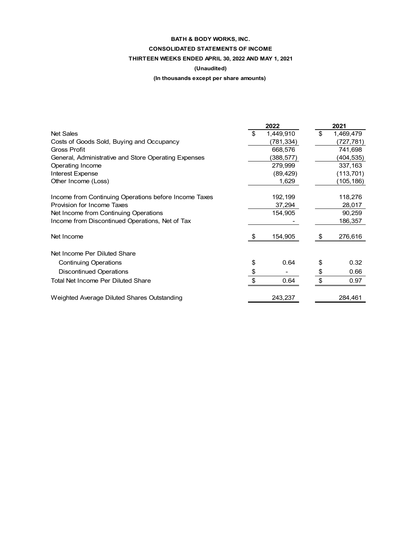# **BATH & BODY WORKS, INC. CONSOLIDATED STATEMENTS OF INCOME THIRTEEN WEEKS ENDED APRIL 30, 2022 AND MAY 1, 2021**

#### **(Unaudited)**

## **(In thousands except per share amounts)**

|                                                       |                           | 2022      | 2021 |           |  |
|-------------------------------------------------------|---------------------------|-----------|------|-----------|--|
| <b>Net Sales</b>                                      | \$                        | 1,449,910 | \$   | 1,469,479 |  |
| Costs of Goods Sold, Buying and Occupancy             |                           | (781,334) |      | (727,781) |  |
| <b>Gross Profit</b>                                   |                           | 668,576   |      | 741,698   |  |
| General, Administrative and Store Operating Expenses  |                           | (388,577) |      | (404,535) |  |
| Operating Income                                      |                           | 279,999   |      | 337,163   |  |
| Interest Expense                                      |                           | (89, 429) |      | (113,701) |  |
| Other Income (Loss)                                   |                           | 1,629     |      | (105,186) |  |
| Income from Continuing Operations before Income Taxes |                           | 192,199   |      | 118,276   |  |
| Provision for Income Taxes                            |                           | 37,294    |      | 28,017    |  |
| Net Income from Continuing Operations                 |                           | 154,905   |      | 90,259    |  |
| Income from Discontinued Operations, Net of Tax       |                           |           |      | 186,357   |  |
| Net Income                                            | -\$                       | 154,905   | \$   | 276,616   |  |
| Net Income Per Diluted Share                          |                           |           |      |           |  |
| <b>Continuing Operations</b>                          | \$                        | 0.64      | \$   | 0.32      |  |
| <b>Discontinued Operations</b>                        | \$                        |           | \$   | 0.66      |  |
| Total Net Income Per Diluted Share                    | $\boldsymbol{\mathsf{S}}$ | 0.64      | \$   | 0.97      |  |
| Weighted Average Diluted Shares Outstanding           |                           | 243,237   |      | 284,461   |  |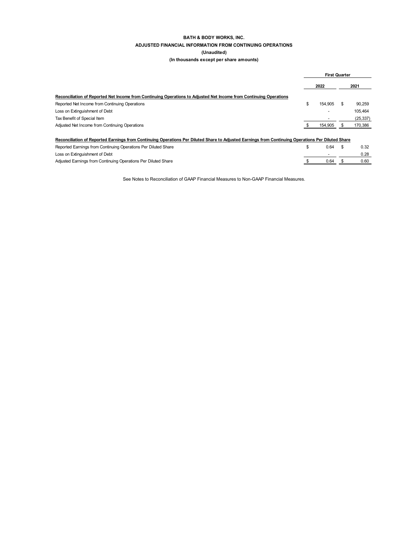#### **BATH & BODY WORKS, INC. ADJUSTED FINANCIAL INFORMATION FROM CONTINUING OPERATIONS (Unaudited)**

**(In thousands except per share amounts)** 

|                                                                                                                                                    | <b>First Quarter</b> |    |           |
|----------------------------------------------------------------------------------------------------------------------------------------------------|----------------------|----|-----------|
|                                                                                                                                                    | 2022                 |    | 2021      |
| Reconciliation of Reported Net Income from Continuing Operations to Adiusted Net Income from Continuing Operations                                 |                      |    |           |
| Reported Net Income from Continuing Operations                                                                                                     | \$<br>154.905        |    | 90.259    |
| Loss on Extinguishment of Debt                                                                                                                     |                      |    | 105.464   |
| Tax Benefit of Special Item                                                                                                                        |                      |    | (25, 337) |
| Adjusted Net Income from Continuing Operations                                                                                                     | 154,905              |    | 170,386   |
| Reconciliation of Reported Earnings from Continuing Operations Per Diluted Share to Adjusted Earnings from Continuing Operations Per Diluted Share |                      |    |           |
| Reported Earnings from Continuing Operations Per Diluted Share                                                                                     | \$<br>0.64           | \$ | 0.32      |
| Loss on Extinguishment of Debt                                                                                                                     |                      |    | 0.28      |

Adjusted Earnings from Continuing Operations Per Diluted Share \$ 0.60 0.64 \$

See Notes to Reconciliation of GAAP Financial Measures to Non-GAAP Financial Measures.